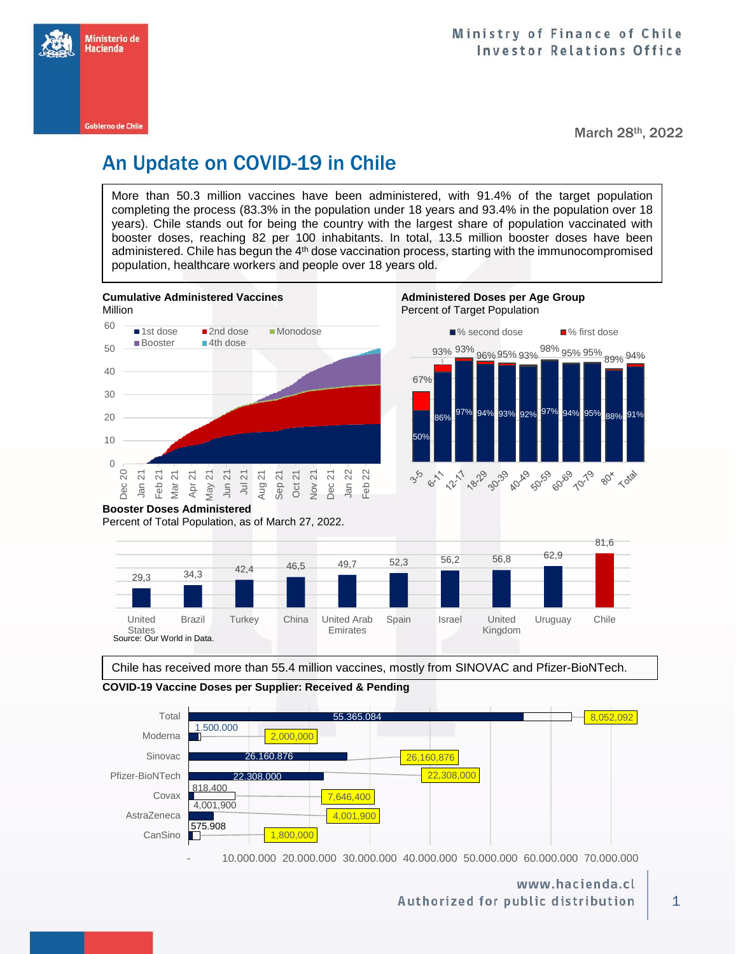

March 28th, 2022

# An Update on COVID-19 in Chile

More than 50.3 million vaccines have been administered, with 91.4% of the target population completing the process (83.3% in the population under 18 years and 93.4% in the population over 18 years). Chile stands out for being the country with the largest share of population vaccinated with booster doses, reaching 82 per 100 inhabitants. In total, 13.5 million booster doses have been administered. Chile has begun the 4<sup>th</sup> dose vaccination process, starting with the immunocompromised population, healthcare workers and people over 18 years old.



Chile has received more than 55.4 million vaccines, mostly from SINOVAC and Pfizer-BioNTech.





- 10.000.000 20.000.000 30.000.000 40.000.000 50.000.000 60.000.000 70.000.000

## www.hacienda.cl Authorized for public distribution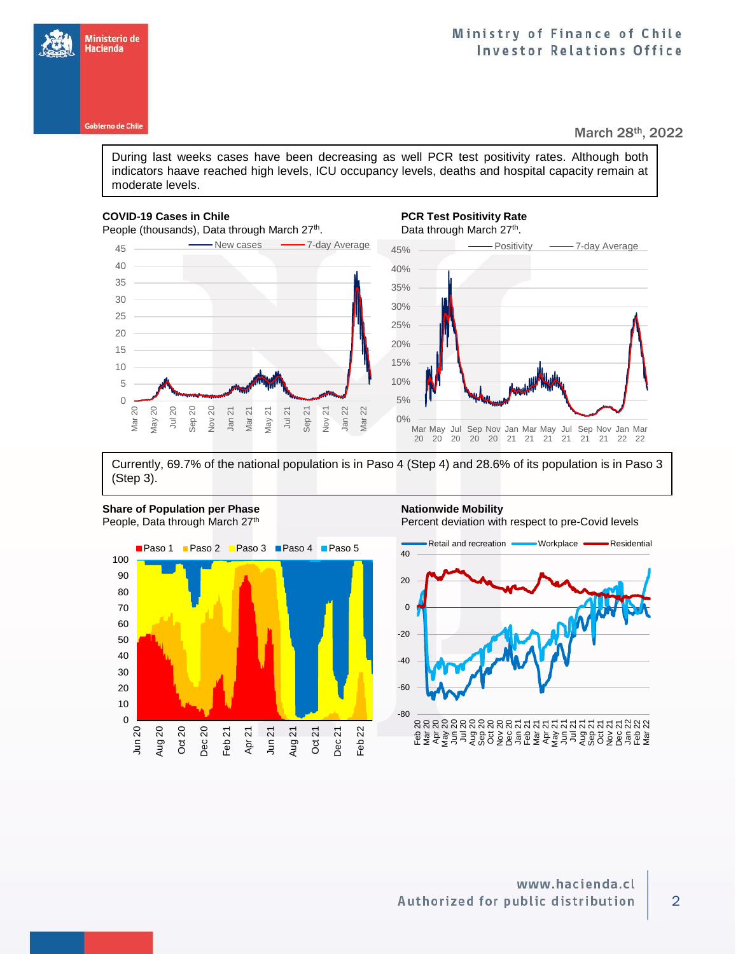During last weeks cases have been decreasing as well PCR test positivity rates. Although both indicators haave reached high levels, ICU occupancy levels, deaths and hospital capacity remain at moderate levels.

### **COVID-19 Cases in Chile PCR Test Positivity Rate**

Ministerio de Hacienda

**Gobierno de Chile** 



## . Data through March 27<sup>th</sup>.



Currently, 69.7% of the national population is in Paso 4 (Step 4) and 28.6% of its population is in Paso 3 (Step 3).



Jun 20 Aug 20 Oct 20 Dec 20 Feb 21 Apr<sub>21</sub> Jun 21 Aug 21 Oct 21 Dec 21 Feb 22

Percent deviation with respect to pre-Covid levels